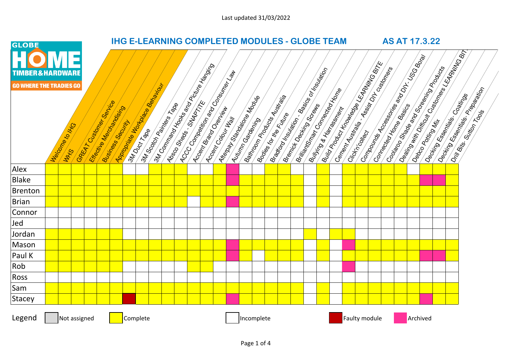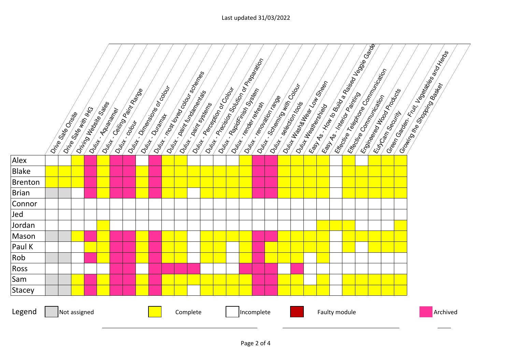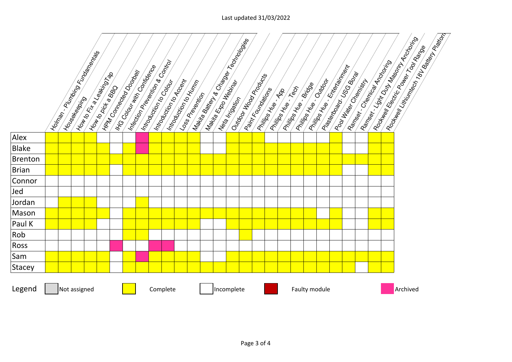